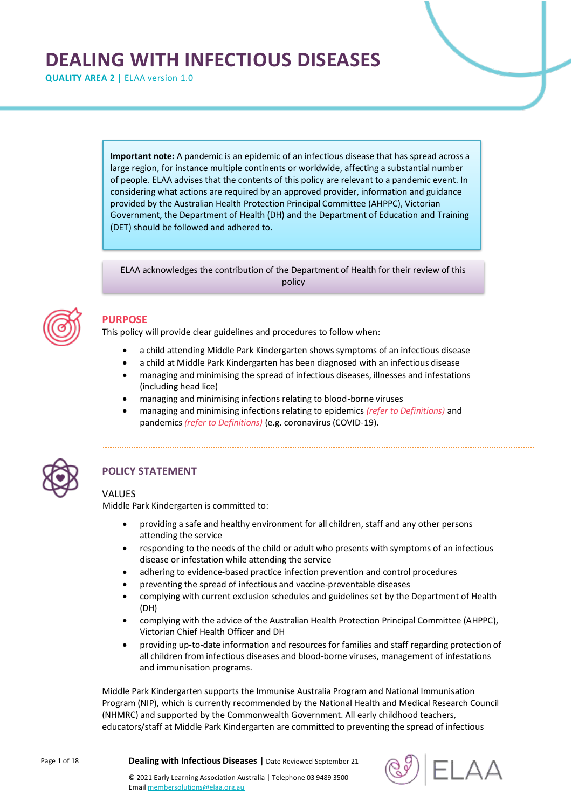# **DEALING WITH INFECTIOUS DISEASES**

**QUALITY AREA 2 | ELAA version 1.0** 

**Important note:** A pandemic is an epidemic of an infectious disease that has spread across a large region, for instance multiple continents or worldwide, affecting a substantial number of people. ELAA advises that the contents of this policy are relevant to a pandemic event. In considering what actions are required by an approved provider, information and guidance provided by the Australian Health Protection Principal Committee (AHPPC), Victorian Government, the Department of Health (DH) and the Department of Education and Training (DET) should be followed and adhered to.

ELAA acknowledges the contribution of the Department of Health for their review of this policy



# **PURPOSE**

This policy will provide clear guidelines and procedures to follow when:

- a child attending Middle Park Kindergarten shows symptoms of an infectious disease
- a child at Middle Park Kindergarten has been diagnosed with an infectious disease
- managing and minimising the spread of infectious diseases, illnesses and infestations (including head lice)
- managing and minimising infections relating to blood-borne viruses
- managing and minimising infections relating to epidemics *(refer to Definitions)* and pandemics *(refer to Definitions)* (e.g. coronavirus (COVID-19).



# **POLICY STATEMENT**

# VALUES

Middle Park Kindergarten is committed to:

- providing a safe and healthy environment for all children, staff and any other persons attending the service
- responding to the needs of the child or adult who presents with symptoms of an infectious disease or infestation while attending the service
- adhering to evidence-based practice infection prevention and control procedures
- preventing the spread of infectious and vaccine-preventable diseases
- complying with current exclusion schedules and guidelines set by the Department of Health (DH)
- complying with the advice of the Australian Health Protection Principal Committee (AHPPC), Victorian Chief Health Officer and DH
- providing up-to-date information and resources for families and staff regarding protection of all children from infectious diseases and blood-borne viruses, management of infestations and immunisation programs.

Middle Park Kindergarten supports the Immunise Australia Program and National Immunisation Program (NIP), which is currently recommended by the National Health and Medical Research Council (NHMRC) and supported by the Commonwealth Government. All early childhood teachers, educators/staff at Middle Park Kindergarten are committed to preventing the spread of infectious

Page 1 of 18 **Dealing with Infectious Diseases |** Date Reviewed September 21

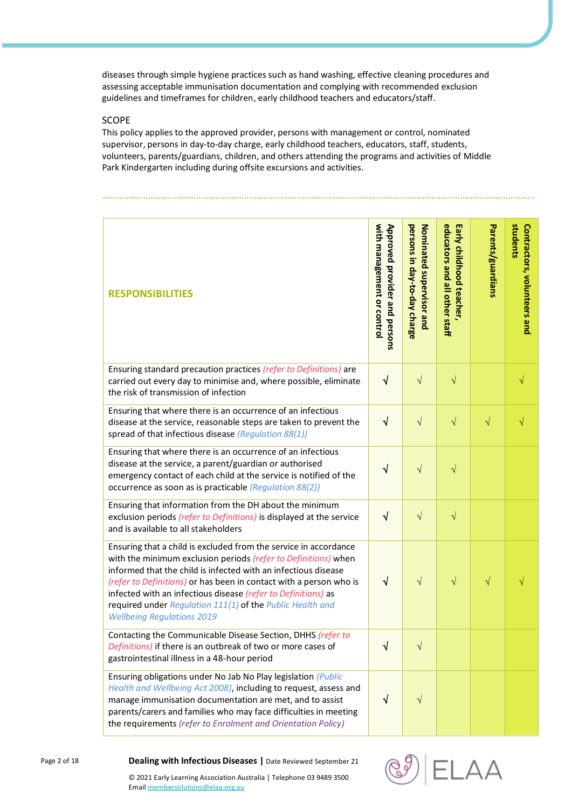diseases through simple hygiene practices such as hand washing, effective cleaning procedures and assessing acceptable immunisation documentation and complying with recommended exclusion guidelines and timeframes for children, early childhood teachers and educators/staff.

## SCOPE

This policy applies to the approved provider, persons with management or control, nominated supervisor, persons in day-to-day charge, early childhood teachers, educators, staff, students, volunteers, parents/guardians, children, and others attending the programs and activities of Middle Park Kindergarten including during offsite excursions and activities.

| <b>RESPONSIBILITIES</b>                                                                                                                                                                                                                                                                                                                                                                                                                       | with management or control<br>Approved provider and persons | persons in day-to-day charge<br>Nominated supervisor and | educators and all other staff<br>Early childhood teacher, | Parents/guardians | students<br>Contractors, volunteers and |
|-----------------------------------------------------------------------------------------------------------------------------------------------------------------------------------------------------------------------------------------------------------------------------------------------------------------------------------------------------------------------------------------------------------------------------------------------|-------------------------------------------------------------|----------------------------------------------------------|-----------------------------------------------------------|-------------------|-----------------------------------------|
| Ensuring standard precaution practices (refer to Definitions) are<br>carried out every day to minimise and, where possible, eliminate<br>the risk of transmission of infection                                                                                                                                                                                                                                                                | $\sqrt{}$                                                   | $\sqrt{}$                                                | $\sqrt{}$                                                 |                   | V                                       |
| Ensuring that where there is an occurrence of an infectious<br>disease at the service, reasonable steps are taken to prevent the<br>spread of that infectious disease (Regulation 88(1))                                                                                                                                                                                                                                                      | $\sqrt{}$                                                   | $\sqrt{}$                                                | $\sqrt{2}$                                                | $\sqrt{}$         | $\sqrt{}$                               |
| Ensuring that where there is an occurrence of an infectious<br>disease at the service, a parent/guardian or authorised<br>emergency contact of each child at the service is notified of the<br>occurrence as soon as is practicable (Regulation 88(2))                                                                                                                                                                                        | $\sqrt{}$                                                   | $\sqrt{}$                                                | $\sqrt{}$                                                 |                   |                                         |
| Ensuring that information from the DH about the minimum<br>exclusion periods (refer to Definitions) is displayed at the service<br>and is available to all stakeholders                                                                                                                                                                                                                                                                       | $\sqrt{}$                                                   | $\sqrt{}$                                                | $\sqrt{}$                                                 |                   |                                         |
| Ensuring that a child is excluded from the service in accordance<br>with the minimum exclusion periods (refer to Definitions) when<br>informed that the child is infected with an infectious disease<br>(refer to Definitions) or has been in contact with a person who is<br>infected with an infectious disease (refer to Definitions) as<br>required under Regulation 111(1) of the Public Health and<br><b>Wellbeing Regulations 2019</b> | $\sqrt{}$                                                   | $\sqrt{}$                                                | $\sqrt{}$                                                 | $\sqrt{}$         |                                         |
| Contacting the Communicable Disease Section, DHHS (refer to<br>Definitions) if there is an outbreak of two or more cases of<br>gastrointestinal illness in a 48-hour period                                                                                                                                                                                                                                                                   | √                                                           | V                                                        |                                                           |                   |                                         |
| Ensuring obligations under No Jab No Play legislation (Public<br>Health and Wellbeing Act 2008), including to request, assess and<br>manage immunisation documentation are met, and to assist<br>parents/carers and families who may face difficulties in meeting<br>the requirements (refer to Enrolment and Orientation Policy)                                                                                                             | N                                                           | $\sqrt{}$                                                |                                                           |                   |                                         |



Page 2 of 18 **Dealing with Infectious Diseases |** Date Reviewed September 21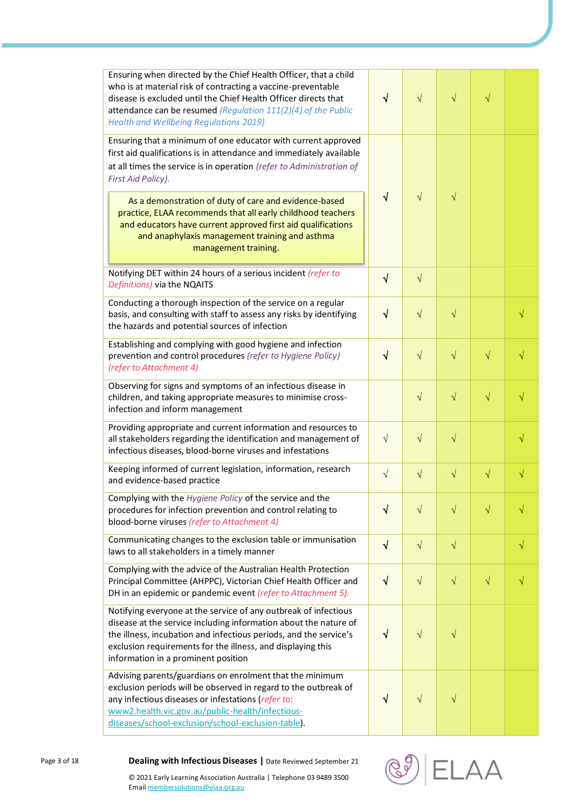| Ensuring when directed by the Chief Health Officer, that a child<br>who is at material risk of contracting a vaccine-preventable<br>disease is excluded until the Chief Health Officer directs that<br>attendance can be resumed (Regulation 111(2)(4) of the Public<br><b>Health and Wellbeing Regulations 2019)</b> | $\sqrt{ }$ | $\sqrt{}$ | $\sqrt{}$ | $\sqrt{}$ |           |
|-----------------------------------------------------------------------------------------------------------------------------------------------------------------------------------------------------------------------------------------------------------------------------------------------------------------------|------------|-----------|-----------|-----------|-----------|
| Ensuring that a minimum of one educator with current approved<br>first aid qualifications is in attendance and immediately available<br>at all times the service is in operation (refer to Administration of<br>First Aid Policy).                                                                                    | $\sqrt{}$  |           |           |           |           |
| As a demonstration of duty of care and evidence-based<br>practice, ELAA recommends that all early childhood teachers<br>and educators have current approved first aid qualifications<br>and anaphylaxis management training and asthma<br>management training.                                                        |            | $\sqrt{}$ | $\sqrt{}$ |           |           |
| Notifying DET within 24 hours of a serious incident (refer to<br>Definitions) via the NQAITS                                                                                                                                                                                                                          |            | $\sqrt{}$ |           |           |           |
| Conducting a thorough inspection of the service on a regular<br>basis, and consulting with staff to assess any risks by identifying<br>the hazards and potential sources of infection                                                                                                                                 |            | $\sqrt{}$ | $\sqrt{}$ |           | $\sqrt{}$ |
| Establishing and complying with good hygiene and infection<br>prevention and control procedures (refer to Hygiene Policy)<br>(refer to Attachment 4)                                                                                                                                                                  |            | $\sqrt{}$ | $\sqrt{}$ | $\sqrt{}$ | $\sqrt{}$ |
| Observing for signs and symptoms of an infectious disease in<br>children, and taking appropriate measures to minimise cross-<br>infection and inform management                                                                                                                                                       |            | $\sqrt{}$ | $\sqrt{}$ | $\sqrt{}$ | $\sqrt{}$ |
| Providing appropriate and current information and resources to<br>all stakeholders regarding the identification and management of<br>infectious diseases, blood-borne viruses and infestations                                                                                                                        |            | $\sqrt{}$ | $\sqrt{}$ |           | $\sqrt{}$ |
| Keeping informed of current legislation, information, research<br>and evidence-based practice                                                                                                                                                                                                                         |            | $\sqrt{}$ | $\sqrt{}$ | $\sqrt{}$ | $\sqrt{}$ |
| Complying with the Hygiene Policy of the service and the<br>procedures for infection prevention and control relating to<br>blood-borne viruses (refer to Attachment 4)                                                                                                                                                |            | $\sqrt{}$ | $\sqrt{}$ | $\sqrt{}$ | $\sqrt{}$ |
| Communicating changes to the exclusion table or immunisation<br>laws to all stakeholders in a timely manner                                                                                                                                                                                                           |            | $\sqrt{}$ | $\sqrt{}$ |           | $\sqrt{}$ |
| Complying with the advice of the Australian Health Protection<br>Principal Committee (AHPPC), Victorian Chief Health Officer and<br>DH in an epidemic or pandemic event (refer to Attachment 5).                                                                                                                      |            | $\sqrt{}$ | $\sqrt{}$ | $\sqrt{}$ | $\sqrt{}$ |
| Notifying everyone at the service of any outbreak of infectious<br>disease at the service including information about the nature of<br>the illness, incubation and infectious periods, and the service's<br>exclusion requirements for the illness, and displaying this<br>information in a prominent position        |            | $\sqrt{}$ | $\sqrt{}$ |           |           |
| Advising parents/guardians on enrolment that the minimum<br>exclusion periods will be observed in regard to the outbreak of<br>any infectious diseases or infestations (refer to:<br>www2.health.vic.gov.au/public-health/infectious-<br>diseases/school-exclusion/school-exclusion-table).                           |            | $\sqrt{}$ | $\sqrt{}$ |           |           |



Page 3 of 18 **Dealing with Infectious Diseases |** Date Reviewed September 21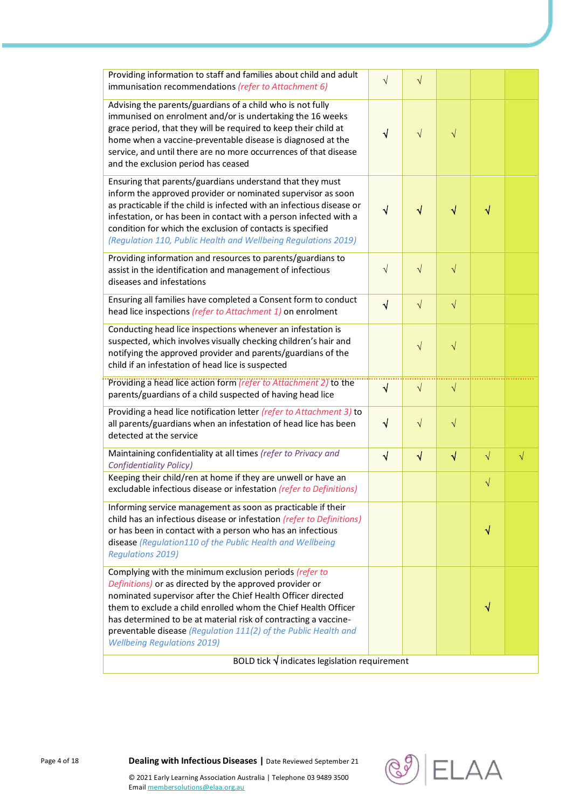| Providing information to staff and families about child and adult<br>immunisation recommendations (refer to Attachment 6)                                                                                                                                                                                                                                                                                                       | $\sqrt{}$  | $\sqrt{ }$ |           |           |   |  |
|---------------------------------------------------------------------------------------------------------------------------------------------------------------------------------------------------------------------------------------------------------------------------------------------------------------------------------------------------------------------------------------------------------------------------------|------------|------------|-----------|-----------|---|--|
| Advising the parents/guardians of a child who is not fully<br>immunised on enrolment and/or is undertaking the 16 weeks<br>grace period, that they will be required to keep their child at<br>home when a vaccine-preventable disease is diagnosed at the<br>service, and until there are no more occurrences of that disease<br>and the exclusion period has ceased                                                            | V          | $\sqrt{ }$ | $\sqrt{}$ |           |   |  |
| Ensuring that parents/guardians understand that they must<br>inform the approved provider or nominated supervisor as soon<br>as practicable if the child is infected with an infectious disease or<br>infestation, or has been in contact with a person infected with a<br>condition for which the exclusion of contacts is specified<br>(Regulation 110, Public Health and Wellbeing Regulations 2019)                         | $\sqrt{ }$ | $\sqrt{ }$ | $\sqrt{}$ | √         |   |  |
| Providing information and resources to parents/guardians to<br>assist in the identification and management of infectious<br>diseases and infestations                                                                                                                                                                                                                                                                           | $\sqrt{ }$ | $\sqrt{ }$ | $\sqrt{}$ |           |   |  |
| Ensuring all families have completed a Consent form to conduct<br>head lice inspections (refer to Attachment 1) on enrolment                                                                                                                                                                                                                                                                                                    | $\sqrt{ }$ | $\sqrt{ }$ | $\sqrt{}$ |           |   |  |
| Conducting head lice inspections whenever an infestation is<br>suspected, which involves visually checking children's hair and<br>notifying the approved provider and parents/guardians of the<br>child if an infestation of head lice is suspected                                                                                                                                                                             |            | $\sqrt{ }$ | $\sqrt{}$ |           |   |  |
| Providing a head lice action form (refer to Attachment 2) to the<br>parents/guardians of a child suspected of having head lice                                                                                                                                                                                                                                                                                                  |            | $\sqrt{ }$ | $\sqrt{}$ |           |   |  |
| Providing a head lice notification letter (refer to Attachment 3) to<br>all parents/guardians when an infestation of head lice has been<br>detected at the service                                                                                                                                                                                                                                                              |            | $\sqrt{}$  | $\sqrt{}$ |           |   |  |
| Maintaining confidentiality at all times (refer to Privacy and<br><b>Confidentiality Policy)</b>                                                                                                                                                                                                                                                                                                                                | $\sqrt{ }$ | $\sqrt{}$  | $\sqrt{}$ | $\sqrt{}$ | V |  |
| Keeping their child/ren at home if they are unwell or have an<br>excludable infectious disease or infestation (refer to Definitions)                                                                                                                                                                                                                                                                                            |            |            |           | $\sqrt{}$ |   |  |
| Informing service management as soon as practicable if their<br>child has an infectious disease or infestation (refer to Definitions)<br>or has been in contact with a person who has an infectious<br>disease (Regulation110 of the Public Health and Wellbeing<br><b>Regulations 2019)</b>                                                                                                                                    |            |            |           | V         |   |  |
| Complying with the minimum exclusion periods (refer to<br>Definitions) or as directed by the approved provider or<br>nominated supervisor after the Chief Health Officer directed<br>them to exclude a child enrolled whom the Chief Health Officer<br>has determined to be at material risk of contracting a vaccine-<br>preventable disease (Regulation 111(2) of the Public Health and<br><b>Wellbeing Regulations 2019)</b> |            |            |           | V         |   |  |
| BOLD tick $\sqrt{}$ indicates legislation requirement                                                                                                                                                                                                                                                                                                                                                                           |            |            |           |           |   |  |



Page 4 of 18 **Dealing with Infectious Diseases |** Date Reviewed September 21

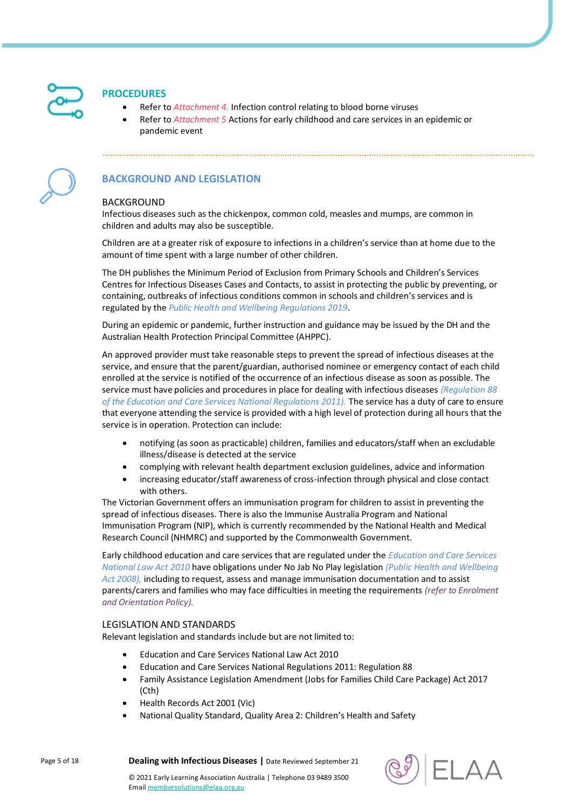

# **PROCEDURES**

- Refer to *Attachment 4.* Infection control relating to blood borne viruses
- Refer to *Attachment 5* Actions for early childhood and care services in an epidemic or pandemic event

# **BACKGROUND AND LEGISLATION**

#### BACKGROUND

Infectious diseases such as the chickenpox, common cold, measles and mumps, are common in children and adults may also be susceptible.

Children are at a greater risk of exposure to infections in a children's service than at home due to the amount of time spent with a large number of other children.

The DH publishes the Minimum Period of Exclusion from Primary Schools and Children's Services Centres for Infectious Diseases Cases and Contacts, to assist in protecting the public by preventing, or containing, outbreaks of infectious conditions common in schools and children's services and is regulated by the *Public Health and Wellbeing Regulations 2019*.

During an epidemic or pandemic, further instruction and guidance may be issued by the DH and the Australian Health Protection Principal Committee (AHPPC).

An approved provider must take reasonable steps to prevent the spread of infectious diseases at the service, and ensure that the parent/guardian, authorised nominee or emergency contact of each child enrolled at the service is notified of the occurrence of an infectious disease as soon as possible. The service must have policies and procedures in place for dealing with infectious diseases *(Regulation 88 of the Education and Care Services National Regulations 2011).* The service has a duty of care to ensure that everyone attending the service is provided with a high level of protection during all hours that the service is in operation. Protection can include:

- notifying (as soon as practicable) children, families and educators/staff when an excludable illness/disease is detected at the service
- complying with relevant health department exclusion guidelines, advice and information
- increasing educator/staff awareness of cross-infection through physical and close contact with others.

The Victorian Government offers an immunisation program for children to assist in preventing the spread of infectious diseases. There is also the Immunise Australia Program and National Immunisation Program (NIP), which is currently recommended by the National Health and Medical Research Council (NHMRC) and supported by the Commonwealth Government.

Early childhood education and care services that are regulated under the *Education and Care Services National Law Act 2010* have obligations under No Jab No Play legislation *(Public Health and Wellbeing Act 2008),* including to request, assess and manage immunisation documentation and to assist parents/carers and families who may face difficulties in meeting the requirements *(refer to Enrolment and Orientation Policy).*

#### LEGISLATION AND STANDARDS

Relevant legislation and standards include but are not limited to:

- Education and Care Services National Law Act 2010
- Education and Care Services National Regulations 2011: Regulation 88
- Family Assistance Legislation Amendment (Jobs for Families Child Care Package) Act 2017 (Cth)
- Health Records Act 2001 (Vic)
- National Quality Standard, Quality Area 2: Children's Health and Safety

Page 5 of 18 **Dealing with Infectious Diseases |** Date Reviewed September 21

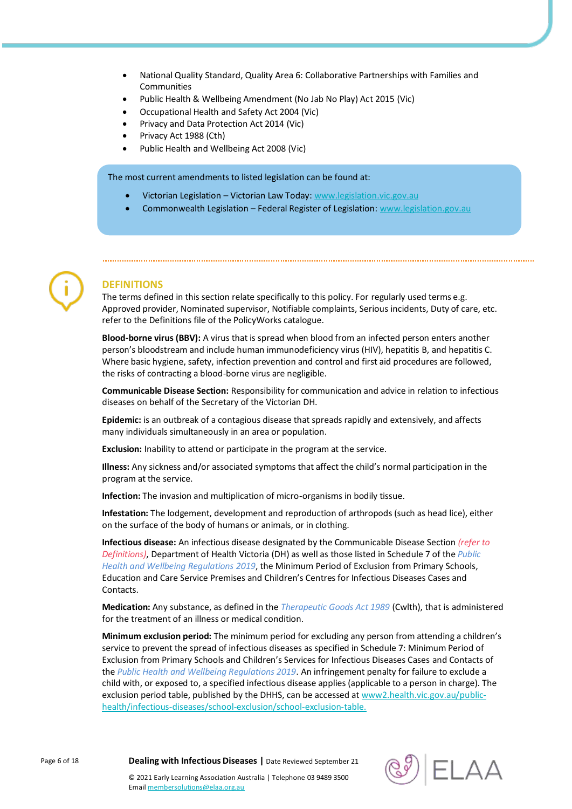- National Quality Standard, Quality Area 6: Collaborative Partnerships with Families and Communities
- Public Health & Wellbeing Amendment (No Jab No Play) Act 2015 (Vic)
- Occupational Health and Safety Act 2004 (Vic)
- Privacy and Data Protection Act 2014 (Vic)
- Privacy Act 1988 (Cth)
- Public Health and Wellbeing Act 2008 (Vic)

The most current amendments to listed legislation can be found at:

- Victorian Legislation Victorian Law Today: [www.legislation.vic.gov.au](http://www.legislation.vic.gov.au/)
- Commonwealth Legislation Federal Register of Legislation: [www.legislation.gov.au](http://www.legislation.gov.au/)



# **DEFINITIONS**

The terms defined in this section relate specifically to this policy. For regularly used terms e.g. Approved provider, Nominated supervisor, Notifiable complaints, Serious incidents, Duty of care, etc. refer to the Definitions file of the PolicyWorks catalogue.

**Blood-borne virus (BBV):** A virus that is spread when blood from an infected person enters another person's bloodstream and include human immunodeficiency virus (HIV), hepatitis B, and hepatitis C. Where basic hygiene, safety, infection prevention and control and first aid procedures are followed, the risks of contracting a blood-borne virus are negligible.

**Communicable Disease Section:** Responsibility for communication and advice in relation to infectious diseases on behalf of the Secretary of the Victorian DH.

**Epidemic:** is an outbreak of a contagious disease that spreads rapidly and extensively, and affects many individuals simultaneously in an area or population.

**Exclusion:** Inability to attend or participate in the program at the service.

**Illness:** Any sickness and/or associated symptoms that affect the child's normal participation in the program at the service.

**Infection:** The invasion and multiplication of micro-organisms in bodily tissue.

**Infestation:** The lodgement, development and reproduction of arthropods (such as head lice), either on the surface of the body of humans or animals, or in clothing.

**Infectious disease:** An infectious disease designated by the Communicable Disease Section *(refer to Definitions)*, Department of Health Victoria (DH) as well as those listed in Schedule 7 of the *Public Health and Wellbeing Regulations 2019*, the Minimum Period of Exclusion from Primary Schools, Education and Care Service Premises and Children's Centres for Infectious Diseases Cases and Contacts.

**Medication:** Any substance, as defined in the *Therapeutic Goods Act 1989* (Cwlth), that is administered for the treatment of an illness or medical condition.

**Minimum exclusion period:** The minimum period for excluding any person from attending a children's service to prevent the spread of infectious diseases as specified in Schedule 7: Minimum Period of Exclusion from Primary Schools and Children's Services for Infectious Diseases Cases and Contacts of the *Public Health and Wellbeing Regulations 2019*. An infringement penalty for failure to exclude a child with, or exposed to, a specified infectious disease applies (applicable to a person in charge). The exclusion period table, published by the DHHS, can be accessed a[t www2.health.vic.gov.au/public](https://www2.health.vic.gov.au/public-health/infectious-diseases/school-exclusion/school-exclusion-table.)[health/infectious-diseases/school-exclusion/school-exclusion-table.](https://www2.health.vic.gov.au/public-health/infectious-diseases/school-exclusion/school-exclusion-table.)

Page 6 of 18 **Dealing with Infectious Diseases |** Date Reviewed September 21

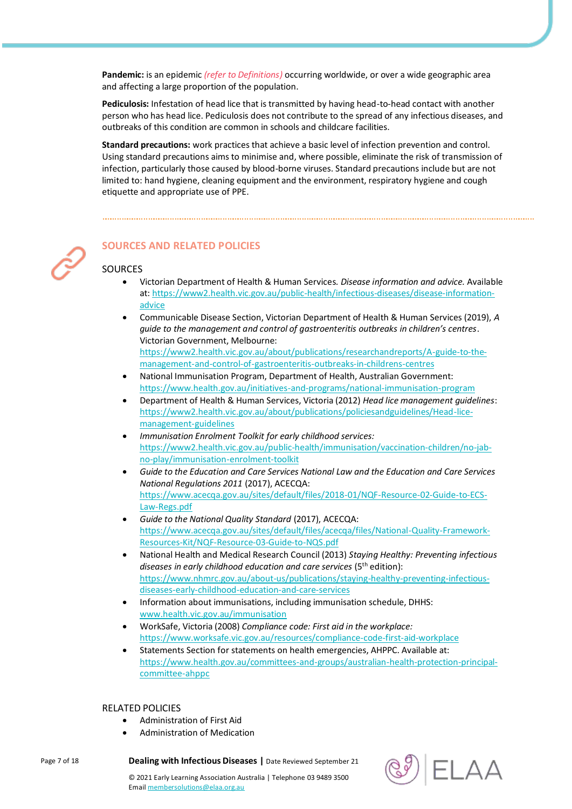**Pandemic:** is an epidemic *(refer to Definitions)* occurring worldwide, or over a wide geographic area and affecting a large proportion of the population.

**Pediculosis:** Infestation of head lice that is transmitted by having head-to-head contact with another person who has head lice. Pediculosis does not contribute to the spread of any infectious diseases, and outbreaks of this condition are common in schools and childcare facilities.

**Standard precautions:** work practices that achieve a basic level of infection prevention and control. Using standard precautions aims to minimise and, where possible, eliminate the risk of transmission of infection, particularly those caused by blood-borne viruses. Standard precautions include but are not limited to: hand hygiene, cleaning equipment and the environment, respiratory hygiene and cough etiquette and appropriate use of PPE.



# **SOURCES AND RELATED POLICIES**

## **SOURCES**

- Victorian Department of Health & Human Services*. Disease information and advice.* Available at[: https://www2.health.vic.gov.au/public-health/infectious-diseases/disease-information](https://www2.health.vic.gov.au/public-health/infectious-diseases/disease-information-advice)[advice](https://www2.health.vic.gov.au/public-health/infectious-diseases/disease-information-advice)
- Communicable Disease Section, Victorian Department of Health & Human Services (2019), *A guide to the management and control of gastroenteritis outbreaks in children's centres*. Victorian Government, Melbourne: [https://www2.health.vic.gov.au/about/publications/researchandreports/A-guide-to-the](https://www2.health.vic.gov.au/about/publications/researchandreports/A-guide-to-the-management-and-control-of-gastroenteritis-outbreaks-in-childrens-centres)[management-and-control-of-gastroenteritis-outbreaks-in-childrens-centres](https://www2.health.vic.gov.au/about/publications/researchandreports/A-guide-to-the-management-and-control-of-gastroenteritis-outbreaks-in-childrens-centres)
- National Immunisation Program, Department of Health, Australian Government: <https://www.health.gov.au/initiatives-and-programs/national-immunisation-program>
- Department of Health & Human Services, Victoria (2012) *Head lice management guidelines*: [https://www2.health.vic.gov.au/about/publications/policiesandguidelines/Head-lice](https://www2.health.vic.gov.au/about/publications/policiesandguidelines/Head-lice-management-guidelines)[management-guidelines](https://www2.health.vic.gov.au/about/publications/policiesandguidelines/Head-lice-management-guidelines)
- *Immunisation Enrolment Toolkit for early childhood services:*  [https://www2.health.vic.gov.au/public-health/immunisation/vaccination-children/no-jab](https://www2.health.vic.gov.au/public-health/immunisation/vaccination-children/no-jab-no-play/immunisation-enrolment-toolkit)[no-play/immunisation-enrolment-toolkit](https://www2.health.vic.gov.au/public-health/immunisation/vaccination-children/no-jab-no-play/immunisation-enrolment-toolkit)
- *Guide to the Education and Care Services National Law and the Education and Care Services National Regulations 2011* (2017), ACECQA: [https://www.acecqa.gov.au/sites/default/files/2018-01/NQF-Resource-02-Guide-to-ECS-](https://www.acecqa.gov.au/sites/default/files/2018-01/NQF-Resource-02-Guide-to-ECS-Law-Regs.pdf)[Law-Regs.pdf](https://www.acecqa.gov.au/sites/default/files/2018-01/NQF-Resource-02-Guide-to-ECS-Law-Regs.pdf)
- *Guide to the National Quality Standard* (2017), ACECQA: [https://www.acecqa.gov.au/sites/default/files/acecqa/files/National-Quality-Framework-](https://www.acecqa.gov.au/sites/default/files/acecqa/files/National-Quality-Framework-Resources-Kit/NQF-Resource-03-Guide-to-NQS.pdf)[Resources-Kit/NQF-Resource-03-Guide-to-NQS.pdf](https://www.acecqa.gov.au/sites/default/files/acecqa/files/National-Quality-Framework-Resources-Kit/NQF-Resource-03-Guide-to-NQS.pdf)
- National Health and Medical Research Council (2013) *Staying Healthy: Preventing infectious diseases in early childhood education and care services* (5th edition): [https://www.nhmrc.gov.au/about-us/publications/staying-healthy-preventing-infectious](https://www.nhmrc.gov.au/about-us/publications/staying-healthy-preventing-infectious-diseases-early-childhood-education-and-care-services)[diseases-early-childhood-education-and-care-services](https://www.nhmrc.gov.au/about-us/publications/staying-healthy-preventing-infectious-diseases-early-childhood-education-and-care-services)
- Information about immunisations, including immunisation schedule, DHHS: [www.health.vic.gov.au/immunisation](http://www.health.vic.gov.au/immunisation)
- WorkSafe, Victoria (2008) *Compliance code: First aid in the workplace:*  <https://www.worksafe.vic.gov.au/resources/compliance-code-first-aid-workplace>
- Statements Section for statements on health emergencies, AHPPC. Available at: [https://www.health.gov.au/committees-and-groups/australian-health-protection-principal](https://www.health.gov.au/committees-and-groups/australian-health-protection-principal-committee-ahppc)[committee-ahppc](https://www.health.gov.au/committees-and-groups/australian-health-protection-principal-committee-ahppc)

# RELATED POLICIES

- Administration of First Aid
- Administration of Medication

Page 7 of 18 **Dealing with Infectious Diseases |** Date Reviewed September 21

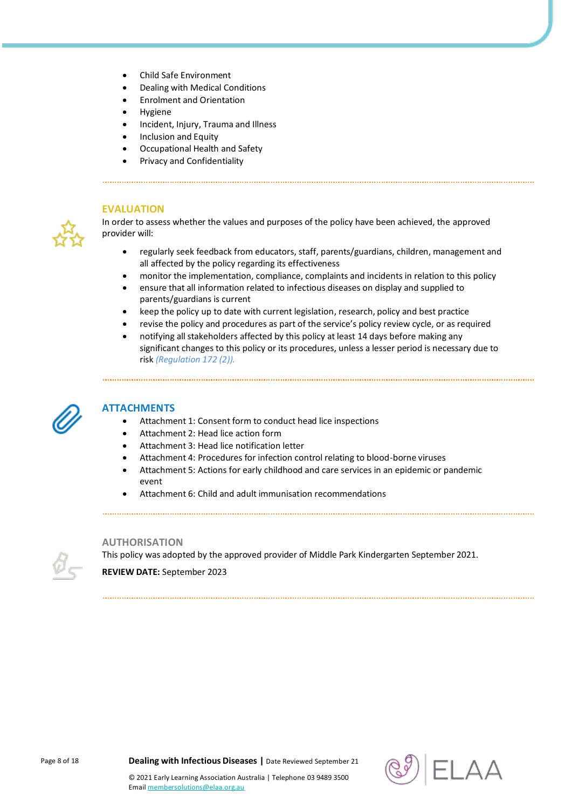- Child Safe Environment
- Dealing with Medical Conditions
- Enrolment and Orientation
- Hygiene
- Incident, Injury, Trauma and Illness
- Inclusion and Equity
- Occupational Health and Safety
- Privacy and Confidentiality



In order to assess whether the values and purposes of the policy have been achieved, the approved provider will:

- regularly seek feedback from educators, staff, parents/guardians, children, management and all affected by the policy regarding its effectiveness
- monitor the implementation, compliance, complaints and incidents in relation to this policy
- ensure that all information related to infectious diseases on display and supplied to parents/guardians is current
- keep the policy up to date with current legislation, research, policy and best practice
- revise the policy and procedures as part of the service's policy review cycle, or as required
- notifying all stakeholders affected by this policy at least 14 days before making any significant changes to this policy or its procedures, unless a lesser period is necessary due to risk *(Regulation 172 (2)).*



# **ATTACHMENTS**

- Attachment 1: Consent form to conduct head lice inspections
- Attachment 2: Head lice action form
- Attachment 3: Head lice notification letter
- Attachment 4: Procedures for infection control relating to blood-borne viruses
- Attachment 5: Actions for early childhood and care services in an epidemic or pandemic event
- Attachment 6: Child and adult immunisation recommendations



**AUTHORISATION**

This policy was adopted by the approved provider of Middle Park Kindergarten September 2021.

**REVIEW DATE:** September 2023



Page 8 of 18 **Dealing with Infectious Diseases |** Date Reviewed September 21

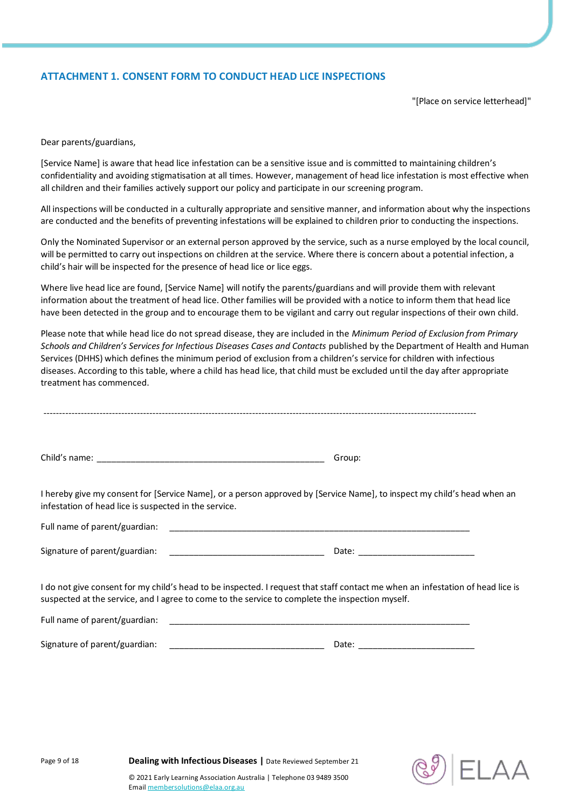# **ATTACHMENT 1. CONSENT FORM TO CONDUCT HEAD LICE INSPECTIONS**

"[Place on service letterhead]"

Dear parents/guardians,

[Service Name] is aware that head lice infestation can be a sensitive issue and is committed to maintaining children's confidentiality and avoiding stigmatisation at all times. However, management of head lice infestation is most effective when all children and their families actively support our policy and participate in our screening program.

All inspections will be conducted in a culturally appropriate and sensitive manner, and information about why the inspections are conducted and the benefits of preventing infestations will be explained to children prior to conducting the inspections.

Only the Nominated Supervisor or an external person approved by the service, such as a nurse employed by the local council, will be permitted to carry out inspections on children at the service. Where there is concern about a potential infection, a child's hair will be inspected for the presence of head lice or lice eggs.

Where live head lice are found, [Service Name] will notify the parents/guardians and will provide them with relevant information about the treatment of head lice. Other families will be provided with a notice to inform them that head lice have been detected in the group and to encourage them to be vigilant and carry out regular inspections of their own child.

Please note that while head lice do not spread disease, they are included in the *Minimum Period of Exclusion from Primary Schools and Children's Services for Infectious Diseases Cases and Contacts* published by the Department of Health and Human Services (DHHS) which defines the minimum period of exclusion from a children's service for children with infectious diseases. According to this table, where a child has head lice, that child must be excluded until the day after appropriate treatment has commenced.

|                                                                                                                                                                                                                                   | Group:                                                                                                                  |  |  |  |  |
|-----------------------------------------------------------------------------------------------------------------------------------------------------------------------------------------------------------------------------------|-------------------------------------------------------------------------------------------------------------------------|--|--|--|--|
| infestation of head lice is suspected in the service.                                                                                                                                                                             | I hereby give my consent for [Service Name], or a person approved by [Service Name], to inspect my child's head when an |  |  |  |  |
|                                                                                                                                                                                                                                   |                                                                                                                         |  |  |  |  |
|                                                                                                                                                                                                                                   |                                                                                                                         |  |  |  |  |
| I do not give consent for my child's head to be inspected. I request that staff contact me when an infestation of head lice is<br>suspected at the service, and I agree to come to the service to complete the inspection myself. |                                                                                                                         |  |  |  |  |
|                                                                                                                                                                                                                                   |                                                                                                                         |  |  |  |  |
|                                                                                                                                                                                                                                   |                                                                                                                         |  |  |  |  |
|                                                                                                                                                                                                                                   |                                                                                                                         |  |  |  |  |

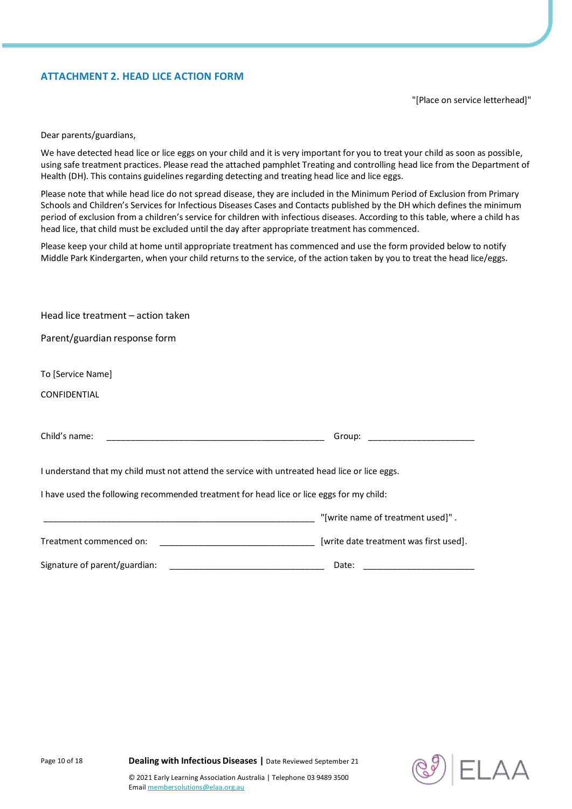# **ATTACHMENT 2. HEAD LICE ACTION FORM**

"[Place on service letterhead]"

Dear parents/guardians,

We have detected head lice or lice eggs on your child and it is very important for you to treat your child as soon as possible, using safe treatment practices. Please read the attached pamphlet Treating and controlling head lice from the Department of Health (DH). This contains guidelines regarding detecting and treating head lice and lice eggs.

Please note that while head lice do not spread disease, they are included in the Minimum Period of Exclusion from Primary Schools and Children's Services for Infectious Diseases Cases and Contacts published by the DH which defines the minimum period of exclusion from a children's service for children with infectious diseases. According to this table, where a child has head lice, that child must be excluded until the day after appropriate treatment has commenced.

Please keep your child at home until appropriate treatment has commenced and use the form provided below to notify Middle Park Kindergarten, when your child returns to the service, of the action taken by you to treat the head lice/eggs.

| Head lice treatment - action taken                                                            |                                        |  |  |  |
|-----------------------------------------------------------------------------------------------|----------------------------------------|--|--|--|
| Parent/guardian response form                                                                 |                                        |  |  |  |
| To [Service Name]                                                                             |                                        |  |  |  |
| CONFIDENTIAL                                                                                  |                                        |  |  |  |
| Child's name:                                                                                 |                                        |  |  |  |
| I understand that my child must not attend the service with untreated head lice or lice eggs. |                                        |  |  |  |
| I have used the following recommended treatment for head lice or lice eggs for my child:      |                                        |  |  |  |
|                                                                                               | "[write name of treatment used]".      |  |  |  |
| Treatment commenced on: \[\]                                                                  | [write date treatment was first used]. |  |  |  |
| Signature of parent/guardian:                                                                 | Date:                                  |  |  |  |



Page 10 of 18 **Dealing with Infectious Diseases |** Date Reviewed September 21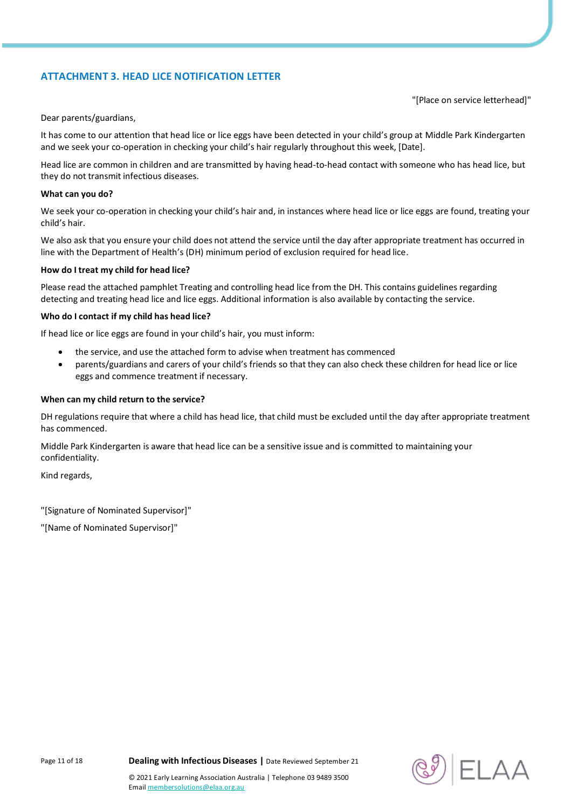# **ATTACHMENT 3. HEAD LICE NOTIFICATION LETTER**

"[Place on service letterhead]"

Dear parents/guardians,

It has come to our attention that head lice or lice eggs have been detected in your child's group at Middle Park Kindergarten and we seek your co-operation in checking your child's hair regularly throughout this week, [Date].

Head lice are common in children and are transmitted by having head-to-head contact with someone who has head lice, but they do not transmit infectious diseases.

#### **What can you do?**

We seek your co-operation in checking your child's hair and, in instances where head lice or lice eggs are found, treating your child's hair.

We also ask that you ensure your child does not attend the service until the day after appropriate treatment has occurred in line with the Department of Health's (DH) minimum period of exclusion required for head lice.

#### **How do I treat my child for head lice?**

Please read the attached pamphlet Treating and controlling head lice from the DH. This contains guidelines regarding detecting and treating head lice and lice eggs. Additional information is also available by contacting the service.

#### **Who do I contact if my child has head lice?**

If head lice or lice eggs are found in your child's hair, you must inform:

- the service, and use the attached form to advise when treatment has commenced
- parents/guardians and carers of your child's friends so that they can also check these children for head lice or lice eggs and commence treatment if necessary.

#### **When can my child return to the service?**

DH regulations require that where a child has head lice, that child must be excluded until the day after appropriate treatment has commenced.

Middle Park Kindergarten is aware that head lice can be a sensitive issue and is committed to maintaining your confidentiality.

Kind regards,

"[Signature of Nominated Supervisor]"

"[Name of Nominated Supervisor]"

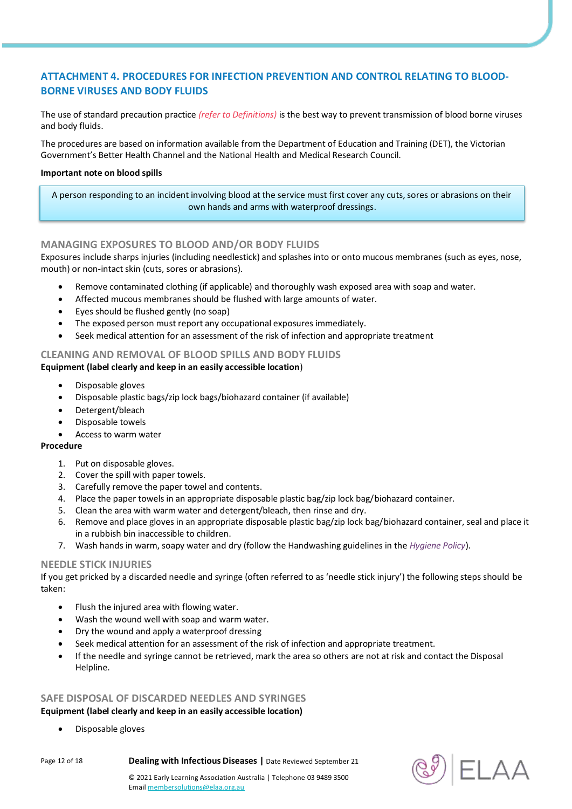# **ATTACHMENT 4. PROCEDURES FOR INFECTION PREVENTION AND CONTROL RELATING TO BLOOD-BORNE VIRUSES AND BODY FLUIDS**

The use of standard precaution practice *(refer to Definitions)* is the best way to prevent transmission of blood borne viruses and body fluids.

The procedures are based on information available from the Department of Education and Training (DET), the Victorian Government's Better Health Channel and the National Health and Medical Research Council.

#### **Important note on blood spills**

A person responding to an incident involving blood at the service must first cover any cuts, sores or abrasions on their own hands and arms with waterproof dressings.

#### **MANAGING EXPOSURES TO BLOOD AND/OR BODY FLUIDS**

Exposures include sharps injuries (including needlestick) and splashes into or onto mucous membranes (such as eyes, nose, mouth) or non-intact skin (cuts, sores or abrasions).

- Remove contaminated clothing (if applicable) and thoroughly wash exposed area with soap and water.
- Affected mucous membranes should be flushed with large amounts of water.
- Eyes should be flushed gently (no soap)
- The exposed person must report any occupational exposures immediately.
- Seek medical attention for an assessment of the risk of infection and appropriate treatment

## **CLEANING AND REMOVAL OF BLOOD SPILLS AND BODY FLUIDS**

## **Equipment (label clearly and keep in an easily accessible location**)

- Disposable gloves
- Disposable plastic bags/zip lock bags/biohazard container (if available)
- Detergent/bleach
- Disposable towels
- Access to warm water

# **Procedure**

- 1. Put on disposable gloves.
- 2. Cover the spill with paper towels.
- 3. Carefully remove the paper towel and contents.
- 4. Place the paper towels in an appropriate disposable plastic bag/zip lock bag/biohazard container.
- 5. Clean the area with warm water and detergent/bleach, then rinse and dry.
- 6. Remove and place gloves in an appropriate disposable plastic bag/zip lock bag/biohazard container, seal and place it in a rubbish bin inaccessible to children.
- 7. Wash hands in warm, soapy water and dry (follow the Handwashing guidelines in the *Hygiene Policy*).

#### **NEEDLE STICK INJURIES**

If you get pricked by a discarded needle and syringe (often referred to as 'needle stick injury') the following steps should be taken:

- Flush the injured area with flowing water.
- Wash the wound well with soap and warm water.
- Dry the wound and apply a waterproof dressing
- Seek medical attention for an assessment of the risk of infection and appropriate treatment.
- If the needle and syringe cannot be retrieved, mark the area so others are not at risk and contact the Disposal Helpline.

# **SAFE DISPOSAL OF DISCARDED NEEDLES AND SYRINGES Equipment (label clearly and keep in an easily accessible location)**

Disposable gloves

Page 12 of 18 **Dealing with Infectious Diseases |** Date Reviewed September 21

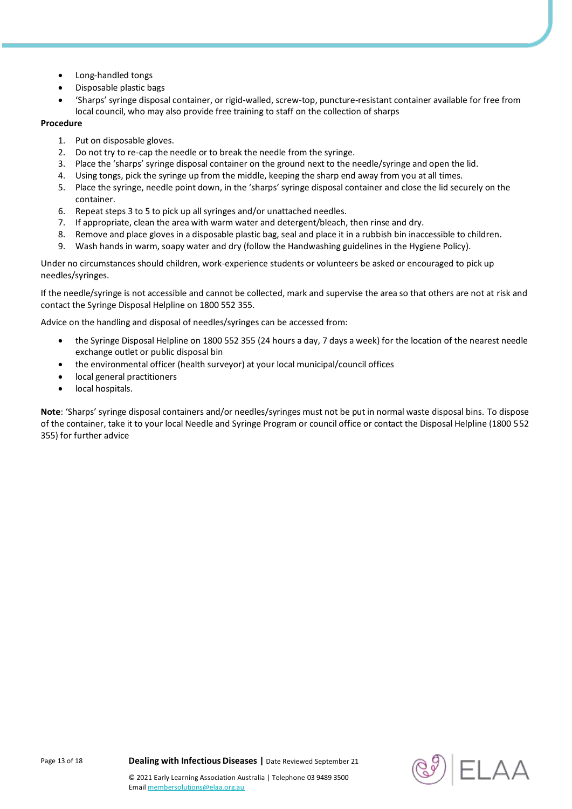- Long-handled tongs
- Disposable plastic bags
- 'Sharps' syringe disposal container, or rigid-walled, screw-top, puncture-resistant container available for free from local council, who may also provide free training to staff on the collection of sharps

#### **Procedure**

- 1. Put on disposable gloves.
- 2. Do not try to re-cap the needle or to break the needle from the syringe.
- 3. Place the 'sharps' syringe disposal container on the ground next to the needle/syringe and open the lid.
- 4. Using tongs, pick the syringe up from the middle, keeping the sharp end away from you at all times.
- 5. Place the syringe, needle point down, in the 'sharps' syringe disposal container and close the lid securely on the container.
- 6. Repeat steps 3 to 5 to pick up all syringes and/or unattached needles.
- 7. If appropriate, clean the area with warm water and detergent/bleach, then rinse and dry.
- 8. Remove and place gloves in a disposable plastic bag, seal and place it in a rubbish bin inaccessible to children.<br>9. Wash hands in warm, soapy water and dry (follow the Handwashing guidelines in the Hygiene Policy).
- Wash hands in warm, soapy water and dry (follow the Handwashing guidelines in the Hygiene Policy).

Under no circumstances should children, work-experience students or volunteers be asked or encouraged to pick up needles/syringes.

If the needle/syringe is not accessible and cannot be collected, mark and supervise the area so that others are not at risk and contact the Syringe Disposal Helpline on 1800 552 355.

Advice on the handling and disposal of needles/syringes can be accessed from:

- the Syringe Disposal Helpline on 1800 552 355 (24 hours a day, 7 days a week) for the location of the nearest needle exchange outlet or public disposal bin
- the environmental officer (health surveyor) at your local municipal/council offices
- local general practitioners
- **•** local hospitals.

**Note**: 'Sharps' syringe disposal containers and/or needles/syringes must not be put in normal waste disposal bins. To dispose of the container, take it to your local Needle and Syringe Program or council office or contact the Disposal Helpline (1800 552 355) for further advice

Page 13 of 18 **Dealing with Infectious Diseases |** Date Reviewed September 21

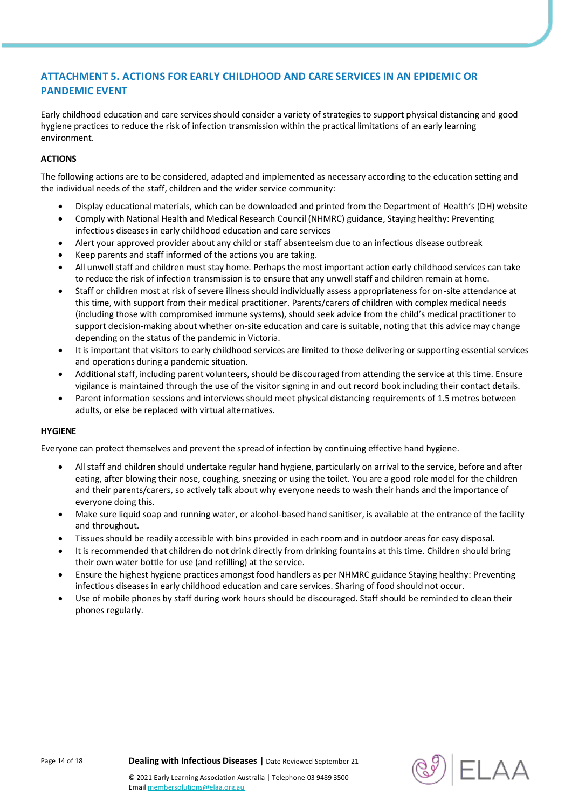# **ATTACHMENT 5. ACTIONS FOR EARLY CHILDHOOD AND CARE SERVICES IN AN EPIDEMIC OR PANDEMIC EVENT**

Early childhood education and care services should consider a variety of strategies to support physical distancing and good hygiene practices to reduce the risk of infection transmission within the practical limitations of an early learning environment.

# **ACTIONS**

The following actions are to be considered, adapted and implemented as necessary according to the education setting and the individual needs of the staff, children and the wider service community:

- Display educational materials, which can be downloaded and printed from the Department of Health's (DH) website
- Comply with National Health and Medical Research Council (NHMRC) guidance, Staying healthy: Preventing infectious diseases in early childhood education and care services
- Alert your approved provider about any child or staff absenteeism due to an infectious disease outbreak
- Keep parents and staff informed of the actions you are taking.
- All unwell staff and children must stay home. Perhaps the most important action early childhood services can take to reduce the risk of infection transmission is to ensure that any unwell staff and children remain at home.
- Staff or children most at risk of severe illness should individually assess appropriateness for on-site attendance at this time, with support from their medical practitioner. Parents/carers of children with complex medical needs (including those with compromised immune systems), should seek advice from the child's medical practitioner to support decision-making about whether on-site education and care is suitable, noting that this advice may change depending on the status of the pandemic in Victoria.
- It is important that visitors to early childhood services are limited to those delivering or supporting essential services and operations during a pandemic situation.
- Additional staff, including parent volunteers, should be discouraged from attending the service at this time. Ensure vigilance is maintained through the use of the visitor signing in and out record book including their contact details.
- Parent information sessions and interviews should meet physical distancing requirements of 1.5 metres between adults, or else be replaced with virtual alternatives.

#### **HYGIENE**

Everyone can protect themselves and prevent the spread of infection by continuing effective hand hygiene.

- All staff and children should undertake regular hand hygiene, particularly on arrival to the service, before and after eating, after blowing their nose, coughing, sneezing or using the toilet. You are a good role model for the children and their parents/carers, so actively talk about why everyone needs to wash their hands and the importance of everyone doing this.
- Make sure liquid soap and running water, or alcohol-based hand sanitiser, is available at the entrance of the facility and throughout.
- Tissues should be readily accessible with bins provided in each room and in outdoor areas for easy disposal.
- It is recommended that children do not drink directly from drinking fountains at this time. Children should bring their own water bottle for use (and refilling) at the service.
- Ensure the highest hygiene practices amongst food handlers as per NHMRC guidance Staying healthy: Preventing infectious diseases in early childhood education and care services. Sharing of food should not occur.
- Use of mobile phones by staff during work hours should be discouraged. Staff should be reminded to clean their phones regularly.



Page 14 of 18 **Dealing with Infectious Diseases |** Date Reviewed September 21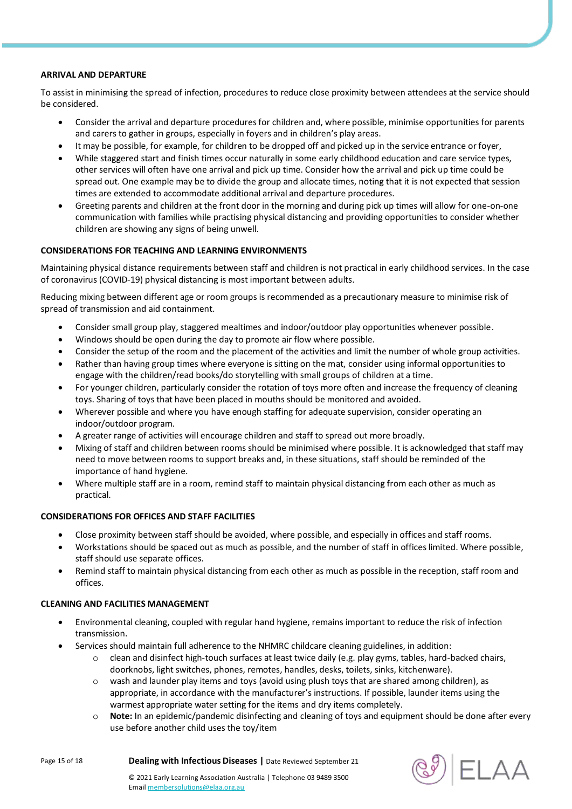#### **ARRIVAL AND DEPARTURE**

To assist in minimising the spread of infection, procedures to reduce close proximity between attendees at the service should be considered.

- Consider the arrival and departure procedures for children and, where possible, minimise opportunities for parents and carers to gather in groups, especially in foyers and in children's play areas.
- It may be possible, for example, for children to be dropped off and picked up in the service entrance or foyer,
- While staggered start and finish times occur naturally in some early childhood education and care service types, other services will often have one arrival and pick up time. Consider how the arrival and pick up time could be spread out. One example may be to divide the group and allocate times, noting that it is not expected that session times are extended to accommodate additional arrival and departure procedures.
- Greeting parents and children at the front door in the morning and during pick up times will allow for one-on-one communication with families while practising physical distancing and providing opportunities to consider whether children are showing any signs of being unwell.

## **CONSIDERATIONS FOR TEACHING AND LEARNING ENVIRONMENTS**

Maintaining physical distance requirements between staff and children is not practical in early childhood services. In the case of coronavirus (COVID-19) physical distancing is most important between adults.

Reducing mixing between different age or room groups is recommended as a precautionary measure to minimise risk of spread of transmission and aid containment.

- Consider small group play, staggered mealtimes and indoor/outdoor play opportunities whenever possible.
- Windows should be open during the day to promote air flow where possible.
- Consider the setup of the room and the placement of the activities and limit the number of whole group activities.
- Rather than having group times where everyone is sitting on the mat, consider using informal opportunities to engage with the children/read books/do storytelling with small groups of children at a time.
- For younger children, particularly consider the rotation of toys more often and increase the frequency of cleaning toys. Sharing of toys that have been placed in mouths should be monitored and avoided.
- Wherever possible and where you have enough staffing for adequate supervision, consider operating an indoor/outdoor program.
- A greater range of activities will encourage children and staff to spread out more broadly.
- Mixing of staff and children between rooms should be minimised where possible. It is acknowledged that staff may need to move between rooms to support breaks and, in these situations, staff should be reminded of the importance of hand hygiene.
- Where multiple staff are in a room, remind staff to maintain physical distancing from each other as much as practical.

#### **CONSIDERATIONS FOR OFFICES AND STAFF FACILITIES**

- Close proximity between staff should be avoided, where possible, and especially in offices and staff rooms.
- Workstations should be spaced out as much as possible, and the number of staff in offices limited. Where possible, staff should use separate offices.
- Remind staff to maintain physical distancing from each other as much as possible in the reception, staff room and offices.

## **CLEANING AND FACILITIES MANAGEMENT**

- Environmental cleaning, coupled with regular hand hygiene, remains important to reduce the risk of infection transmission.
- Services should maintain full adherence to the NHMRC childcare cleaning guidelines, in addition:
	- $\circ$  clean and disinfect high-touch surfaces at least twice daily (e.g. play gyms, tables, hard-backed chairs, doorknobs, light switches, phones, remotes, handles, desks, toilets, sinks, kitchenware).
	- $\circ$  wash and launder play items and toys (avoid using plush toys that are shared among children), as appropriate, in accordance with the manufacturer's instructions. If possible, launder items using the warmest appropriate water setting for the items and dry items completely.
	- o **Note:** In an epidemic/pandemic disinfecting and cleaning of toys and equipment should be done after every use before another child uses the toy/item

Emai[l membersolutions@elaa.org.au](mailto:membersolutions@elaa.org.au)

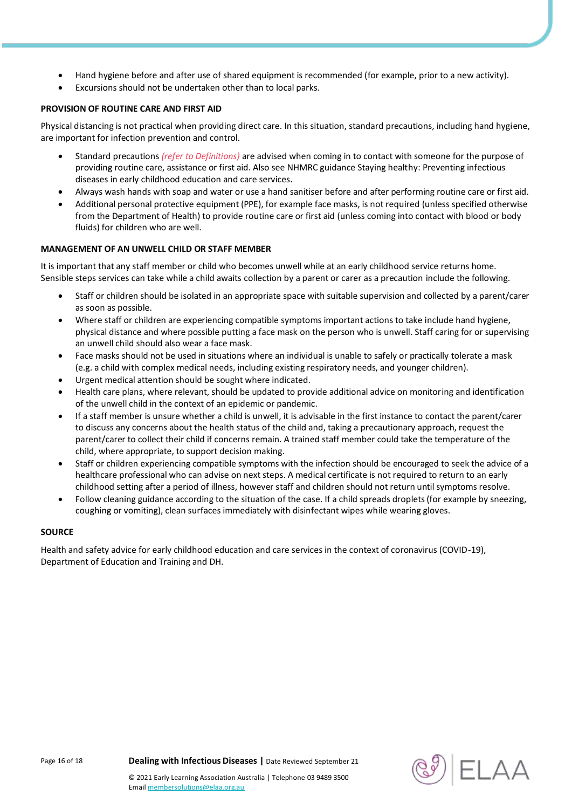- Hand hygiene before and after use of shared equipment is recommended (for example, prior to a new activity).
- Excursions should not be undertaken other than to local parks.

## **PROVISION OF ROUTINE CARE AND FIRST AID**

Physical distancing is not practical when providing direct care. In this situation, standard precautions, including hand hygiene, are important for infection prevention and control.

- Standard precautions *(refer to Definitions)* are advised when coming in to contact with someone for the purpose of providing routine care, assistance or first aid. Also see NHMRC guidance Staying healthy: Preventing infectious diseases in early childhood education and care services.
- Always wash hands with soap and water or use a hand sanitiser before and after performing routine care or first aid.
- Additional personal protective equipment (PPE), for example face masks, is not required (unless specified otherwise from the Department of Health) to provide routine care or first aid (unless coming into contact with blood or body fluids) for children who are well.

## **MANAGEMENT OF AN UNWELL CHILD OR STAFF MEMBER**

It is important that any staff member or child who becomes unwell while at an early childhood service returns home. Sensible steps services can take while a child awaits collection by a parent or carer as a precaution include the following.

- Staff or children should be isolated in an appropriate space with suitable supervision and collected by a parent/carer as soon as possible.
- Where staff or children are experiencing compatible symptoms important actions to take include hand hygiene, physical distance and where possible putting a face mask on the person who is unwell. Staff caring for or supervising an unwell child should also wear a face mask.
- Face masks should not be used in situations where an individual is unable to safely or practically tolerate a mask (e.g. a child with complex medical needs, including existing respiratory needs, and younger children).
- Urgent medical attention should be sought where indicated.
- Health care plans, where relevant, should be updated to provide additional advice on monitoring and identification of the unwell child in the context of an epidemic or pandemic.
- If a staff member is unsure whether a child is unwell, it is advisable in the first instance to contact the parent/carer to discuss any concerns about the health status of the child and, taking a precautionary approach, request the parent/carer to collect their child if concerns remain. A trained staff member could take the temperature of the child, where appropriate, to support decision making.
- Staff or children experiencing compatible symptoms with the infection should be encouraged to seek the advice of a healthcare professional who can advise on next steps. A medical certificate is not required to return to an early childhood setting after a period of illness, however staff and children should not return until symptoms resolve.
- Follow cleaning guidance according to the situation of the case. If a child spreads droplets (for example by sneezing, coughing or vomiting), clean surfaces immediately with disinfectant wipes while wearing gloves.

#### **SOURCE**

Health and safety advice for early childhood education and care services in the context of coronavirus (COVID-19), Department of Education and Training and DH.



Page 16 of 18 **Dealing with Infectious Diseases |** Date Reviewed September 21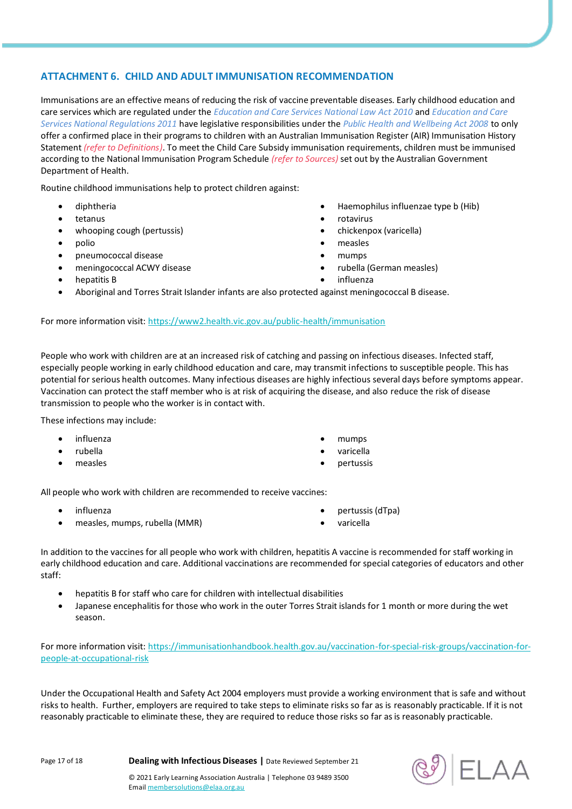# **ATTACHMENT 6. CHILD AND ADULT IMMUNISATION RECOMMENDATION**

Immunisations are an effective means of reducing the risk of vaccine preventable diseases. Early childhood education and care services which are regulated under the *Education and Care Services National Law Act 2010* and *Education and Care Services National Regulations 2011* have legislative responsibilities under the *Public Health and Wellbeing Act 2008* to only offer a confirmed place in their programs to children with an Australian Immunisation Register (AIR) Immunisation History Statement *(refer to Definitions)*. To meet the Child Care Subsidy immunisation requirements, children must be immunised according to the National Immunisation Program Schedule *(refer to Sources)* set out by the Australian Government Department of Health.

Routine childhood immunisations help to protect children against:

- diphtheria
- tetanus
- whooping cough (pertussis)
- polio
- pneumococcal disease
- meningococcal ACWY disease
- hepatitis B
- Haemophilus influenzae type b (Hib)
- rotavirus
- chickenpox (varicella)
- measles
- mumps
- rubella (German measles)
- influenza

Aboriginal and Torres Strait Islander infants are also protected against meningococcal B disease.

For more information visit:<https://www2.health.vic.gov.au/public-health/immunisation>

People who work with children are at an increased risk of catching and passing on infectious diseases. Infected staff, especially people working in early childhood education and care, may transmit infections to susceptible people. This has potential for serious health outcomes. Many infectious diseases are highly infectious several days before symptoms appear. Vaccination can protect the staff member who is at risk of acquiring the disease, and also reduce the risk of disease transmission to people who the worker is in contact with.

These infections may include:

- influenza
- rubella
- measles
- mumps
- varicella
- pertussis

All people who work with children are recommended to receive vaccines:

- influenza
- measles, mumps, rubella (MMR)
- pertussis (dTpa)
- varicella

In addition to the vaccines for all people who work with children, hepatitis A vaccine is recommended for staff working in early childhood education and care. Additional vaccinations are recommended for special categories of educators and other staff:

- hepatitis B for staff who care for children with intellectual disabilities
- Japanese encephalitis for those who work in the outer Torres Strait islands for 1 month or more during the wet season.

For more information visit: [https://immunisationhandbook.health.gov.au/vaccination-for-special-risk-groups/vaccination-for](https://immunisationhandbook.health.gov.au/vaccination-for-special-risk-groups/vaccination-for-people-at-occupational-risk)[people-at-occupational-risk](https://immunisationhandbook.health.gov.au/vaccination-for-special-risk-groups/vaccination-for-people-at-occupational-risk)

Under the Occupational Health and Safety Act 2004 employers must provide a working environment that is safe and without risks to health. Further, employers are required to take steps to eliminate risks so far as is reasonably practicable. If it is not reasonably practicable to eliminate these, they are required to reduce those risks so far as is reasonably practicable.

Page 17 of 18 **Dealing with Infectious Diseases |** Date Reviewed September 21